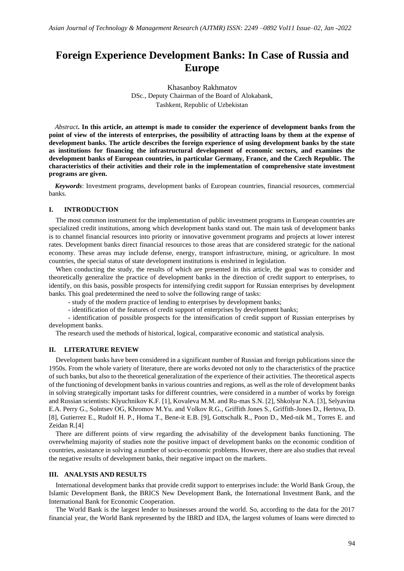# **Foreign Experience Development Banks: In Case of Russia and Europe**

Khasanboy Rakhmatov DSc., Deputy Chairman of the Board of Alokabank, Tashkent, Republic of Uzbekistan

*Abstract***. In this article, an attempt is made to consider the experience of development banks from the point of view of the interests of enterprises, the possibility of attracting loans by them at the expense of development banks. The article describes the foreign experience of using development banks by the state as institutions for financing the infrastructural development of economic sectors, and examines the development banks of European countries, in particular Germany, France, and the Czech Republic. The characteristics of their activities and their role in the implementation of comprehensive state investment programs are given.**

*Keywords*: Investment programs, development banks of European countries, financial resources, commercial banks.

#### **I. INTRODUCTION**

The most common instrument for the implementation of public investment programs in European countries are specialized credit institutions, among which development banks stand out. The main task of development banks is to channel financial resources into priority or innovative government programs and projects at lower interest rates. Development banks direct financial resources to those areas that are considered strategic for the national economy. These areas may include defense, energy, transport infrastructure, mining, or agriculture. In most countries, the special status of state development institutions is enshrined in legislation.

When conducting the study, the results of which are presented in this article, the goal was to consider and theoretically generalize the practice of development banks in the direction of credit support to enterprises, to identify, on this basis, possible prospects for intensifying credit support for Russian enterprises by development banks. This goal predetermined the need to solve the following range of tasks:

- study of the modern practice of lending to enterprises by development banks;

- identification of the features of credit support of enterprises by development banks;

- identification of possible prospects for the intensification of credit support of Russian enterprises by development banks.

The research used the methods of historical, logical, comparative economic and statistical analysis.

## **II. LITERATURE REVIEW**

Development banks have been considered in a significant number of Russian and foreign publications since the 1950s. From the whole variety of literature, there are works devoted not only to the characteristics of the practice of such banks, but also to the theoretical generalization of the experience of their activities. The theoretical aspects of the functioning of development banks in various countries and regions, as well as the role of development banks in solving strategically important tasks for different countries, were considered in a number of works by foreign and Russian scientists: Klyuchnikov K.F. [1], Kovaleva M.M. and Ru-mas S.N. [2], Shkolyar N.A. [3], Selyavina E.A. Perry G., Solntsev OG, Khromov M.Yu. and Volkov R.G., Griffith Jones S., Griffith-Jones D., Hertova, D. [8], Gutierrez E., Rudolf H. P., Homa T., Bene-it E.B. [9], Gottschalk R., Poon D., Med-nik M., Torres E. and Zeidan R.[4]

There are different points of view regarding the advisability of the development banks functioning. The overwhelming majority of studies note the positive impact of development banks on the economic condition of countries, assistance in solving a number of socio-economic problems. However, there are also studies that reveal the negative results of development banks, their negative impact on the markets.

## **III. ANALYSIS AND RESULTS**

International development banks that provide credit support to enterprises include: the World Bank Group, the Islamic Development Bank, the BRICS New Development Bank, the International Investment Bank, and the International Bank for Economic Cooperation.

The World Bank is the largest lender to businesses around the world. So, according to the data for the 2017 financial year, the World Bank represented by the IBRD and IDA, the largest volumes of loans were directed to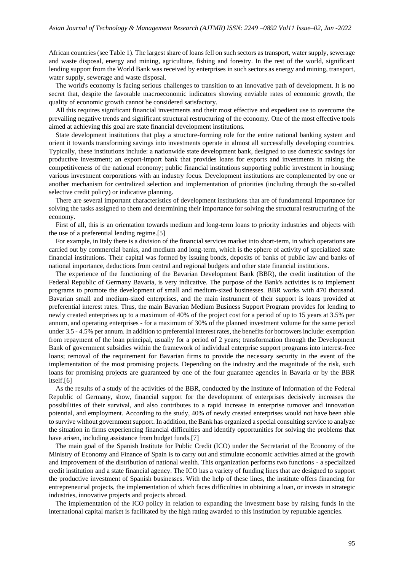African countries (see Table 1). The largest share of loans fell on such sectors as transport, water supply, sewerage and waste disposal, energy and mining, agriculture, fishing and forestry. In the rest of the world, significant lending support from the World Bank was received by enterprises in such sectors as energy and mining, transport, water supply, sewerage and waste disposal.

The world's economy is facing serious challenges to transition to an innovative path of development. It is no secret that, despite the favorable macroeconomic indicators showing enviable rates of economic growth, the quality of economic growth cannot be considered satisfactory.

All this requires significant financial investments and their most effective and expedient use to overcome the prevailing negative trends and significant structural restructuring of the economy. One of the most effective tools aimed at achieving this goal are state financial development institutions.

State development institutions that play a structure-forming role for the entire national banking system and orient it towards transforming savings into investments operate in almost all successfully developing countries. Typically, these institutions include: a nationwide state development bank, designed to use domestic savings for productive investment; an export-import bank that provides loans for exports and investments in raising the competitiveness of the national economy; public financial institutions supporting public investment in housing; various investment corporations with an industry focus. Development institutions are complemented by one or another mechanism for centralized selection and implementation of priorities (including through the so-called selective credit policy) or indicative planning.

There are several important characteristics of development institutions that are of fundamental importance for solving the tasks assigned to them and determining their importance for solving the structural restructuring of the economy.

First of all, this is an orientation towards medium and long-term loans to priority industries and objects with the use of a preferential lending regime.[5]

For example, in Italy there is a division of the financial services market into short-term, in which operations are carried out by commercial banks, and medium and long-term, which is the sphere of activity of specialized state financial institutions. Their capital was formed by issuing bonds, deposits of banks of public law and banks of national importance, deductions from central and regional budgets and other state financial institutions.

The experience of the functioning of the Bavarian Development Bank (BBR), the credit institution of the Federal Republic of Germany Bavaria, is very indicative. The purpose of the Bank's activities is to implement programs to promote the development of small and medium-sized businesses. BBR works with 470 thousand. Bavarian small and medium-sized enterprises, and the main instrument of their support is loans provided at preferential interest rates. Thus, the main Bavarian Medium Business Support Program provides for lending to newly created enterprises up to a maximum of 40% of the project cost for a period of up to 15 years at 3.5% per annum, and operating enterprises - for a maximum of 30% of the planned investment volume for the same period under 3.5 - 4.5% per annum. In addition to preferential interest rates, the benefits for borrowers include: exemption from repayment of the loan principal, usually for a period of 2 years; transformation through the Development Bank of government subsidies within the framework of individual enterprise support programs into interest-free loans; removal of the requirement for Bavarian firms to provide the necessary security in the event of the implementation of the most promising projects. Depending on the industry and the magnitude of the risk, such loans for promising projects are guaranteed by one of the four guarantee agencies in Bavaria or by the BBR itself.[6]

As the results of a study of the activities of the BBR, conducted by the Institute of Information of the Federal Republic of Germany, show, financial support for the development of enterprises decisively increases the possibilities of their survival, and also contributes to a rapid increase in enterprise turnover and innovation potential, and employment. According to the study, 40% of newly created enterprises would not have been able to survive without government support. In addition, the Bank has organized a special consulting service to analyze the situation in firms experiencing financial difficulties and identify opportunities for solving the problems that have arisen, including assistance from budget funds.[7]

The main goal of the Spanish Institute for Public Credit (ICO) under the Secretariat of the Economy of the Ministry of Economy and Finance of Spain is to carry out and stimulate economic activities aimed at the growth and improvement of the distribution of national wealth. This organization performs two functions - a specialized credit institution and a state financial agency. The ICO has a variety of funding lines that are designed to support the productive investment of Spanish businesses. With the help of these lines, the institute offers financing for entrepreneurial projects, the implementation of which faces difficulties in obtaining a loan, or invests in strategic industries, innovative projects and projects abroad.

The implementation of the ICO policy in relation to expanding the investment base by raising funds in the international capital market is facilitated by the high rating awarded to this institution by reputable agencies.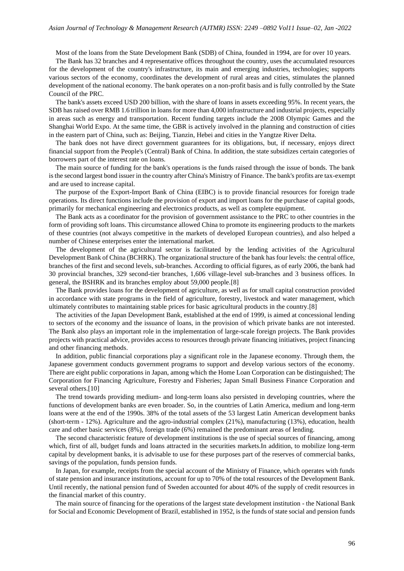Most of the loans from the State Development Bank (SDB) of China, founded in 1994, are for over 10 years.

The Bank has 32 branches and 4 representative offices throughout the country, uses the accumulated resources for the development of the country's infrastructure, its main and emerging industries, technologies; supports various sectors of the economy, coordinates the development of rural areas and cities, stimulates the planned development of the national economy. The bank operates on a non-profit basis and is fully controlled by the State Council of the PRC.

The bank's assets exceed USD 200 billion, with the share of loans in assets exceeding 95%. In recent years, the SDB has raised over RMB 1.6 trillion in loans for more than 4,000 infrastructure and industrial projects, especially in areas such as energy and transportation. Recent funding targets include the 2008 Olympic Games and the Shanghai World Expo. At the same time, the GBR is actively involved in the planning and construction of cities in the eastern part of China, such as: Beijing, Tianzin, Hebei and cities in the Yangtze River Delta.

The bank does not have direct government guarantees for its obligations, but, if necessary, enjoys direct financial support from the People's (Central) Bank of China. In addition, the state subsidizes certain categories of borrowers part of the interest rate on loans.

The main source of funding for the bank's operations is the funds raised through the issue of bonds. The bank is the second largest bond issuer in the country after China's Ministry of Finance. The bank's profits are tax-exempt and are used to increase capital.

The purpose of the Export-Import Bank of China (EIBC) is to provide financial resources for foreign trade operations. Its direct functions include the provision of export and import loans for the purchase of capital goods, primarily for mechanical engineering and electronics products, as well as complete equipment.

The Bank acts as a coordinator for the provision of government assistance to the PRC to other countries in the form of providing soft loans. This circumstance allowed China to promote its engineering products to the markets of these countries (not always competitive in the markets of developed European countries), and also helped a number of Chinese enterprises enter the international market.

The development of the agricultural sector is facilitated by the lending activities of the Agricultural Development Bank of China (BCHRK). The organizational structure of the bank has four levels: the central office, branches of the first and second levels, sub-branches. According to official figures, as of early 2006, the bank had 30 provincial branches, 329 second-tier branches, 1,606 village-level sub-branches and 3 business offices. In general, the BSHRK and its branches employ about 59,000 people.[8]

The Bank provides loans for the development of agriculture, as well as for small capital construction provided in accordance with state programs in the field of agriculture, forestry, livestock and water management, which ultimately contributes to maintaining stable prices for basic agricultural products in the country.[8]

The activities of the Japan Development Bank, established at the end of 1999, is aimed at concessional lending to sectors of the economy and the issuance of loans, in the provision of which private banks are not interested. The Bank also plays an important role in the implementation of large-scale foreign projects. The Bank provides projects with practical advice, provides access to resources through private financing initiatives, project financing and other financing methods.

In addition, public financial corporations play a significant role in the Japanese economy. Through them, the Japanese government conducts government programs to support and develop various sectors of the economy. There are eight public corporations in Japan, among which the Home Loan Corporation can be distinguished; The Corporation for Financing Agriculture, Forestry and Fisheries; Japan Small Business Finance Corporation and several others.<sup>[10]</sup>

The trend towards providing medium- and long-term loans also persisted in developing countries, where the functions of development banks are even broader. So, in the countries of Latin America, medium and long-term loans were at the end of the 1990s. 38% of the total assets of the 53 largest Latin American development banks (short-term - 12%). Agriculture and the agro-industrial complex (21%), manufacturing (13%), education, health care and other basic services (8%), foreign trade (6%) remained the predominant areas of lending.

The second characteristic feature of development institutions is the use of special sources of financing, among which, first of all, budget funds and loans attracted in the securities markets.In addition, to mobilize long-term capital by development banks, it is advisable to use for these purposes part of the reserves of commercial banks, savings of the population, funds pension funds.

In Japan, for example, receipts from the special account of the Ministry of Finance, which operates with funds of state pension and insurance institutions, account for up to 70% of the total resources of the Development Bank. Until recently, the national pension fund of Sweden accounted for about 40% of the supply of credit resources in the financial market of this country.

The main source of financing for the operations of the largest state development institution - the National Bank for Social and Economic Development of Brazil, established in 1952, is the funds of state social and pension funds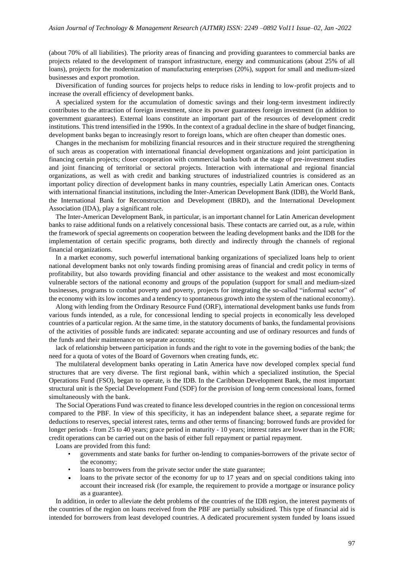(about 70% of all liabilities). The priority areas of financing and providing guarantees to commercial banks are projects related to the development of transport infrastructure, energy and communications (about 25% of all loans), projects for the modernization of manufacturing enterprises (20%), support for small and medium-sized businesses and export promotion.

Diversification of funding sources for projects helps to reduce risks in lending to low-profit projects and to increase the overall efficiency of development banks.

A specialized system for the accumulation of domestic savings and their long-term investment indirectly contributes to the attraction of foreign investment, since its power guarantees foreign investment (in addition to government guarantees). External loans constitute an important part of the resources of development credit institutions. This trend intensified in the 1990s. In the context of a gradual decline in the share of budget financing, development banks began to increasingly resort to foreign loans, which are often cheaper than domestic ones.

Changes in the mechanism for mobilizing financial resources and in their structure required the strengthening of such areas as cooperation with international financial development organizations and joint participation in financing certain projects; closer cooperation with commercial banks both at the stage of pre-investment studies and joint financing of territorial or sectoral projects. Interaction with international and regional financial organizations, as well as with credit and banking structures of industrialized countries is considered as an important policy direction of development banks in many countries, especially Latin American ones. Contacts with international financial institutions, including the Inter-American Development Bank (IDB), the World Bank, the International Bank for Reconstruction and Development (IBRD), and the International Development Association (IDA), play a significant role.

The Inter-American Development Bank, in particular, is an important channel for Latin American development banks to raise additional funds on a relatively concessional basis. These contacts are carried out, as a rule, within the framework of special agreements on cooperation between the leading development banks and the IDB for the implementation of certain specific programs, both directly and indirectly through the channels of regional financial organizations.

In a market economy, such powerful international banking organizations of specialized loans help to orient national development banks not only towards finding promising areas of financial and credit policy in terms of profitability, but also towards providing financial and other assistance to the weakest and most economically vulnerable sectors of the national economy and groups of the population (support for small and medium-sized businesses, programs to combat poverty and poverty, projects for integrating the so-called "informal sector" of the economy with its low incomes and a tendency to spontaneous growth into the system of the national economy).

Along with lending from the Ordinary Resource Fund (ORF), international development banks use funds from various funds intended, as a rule, for concessional lending to special projects in economically less developed countries of a particular region. At the same time, in the statutory documents of banks, the fundamental provisions of the activities of possible funds are indicated: separate accounting and use of ordinary resources and funds of the funds and their maintenance on separate accounts;

lack of relationship between participation in funds and the right to vote in the governing bodies of the bank; the need for a quota of votes of the Board of Governors when creating funds, etc.

The multilateral development banks operating in Latin America have now developed complex special fund structures that are very diverse. The first regional bank, within which a specialized institution, the Special Operations Fund (FSO), began to operate, is the IDB. In the Caribbean Development Bank, the most important structural unit is the Special Development Fund (SDF) for the provision of long-term concessional loans, formed simultaneously with the bank.

The Social Operations Fund was created to finance less developed countries in the region on concessional terms compared to the PBF. In view of this specificity, it has an independent balance sheet, a separate regime for deductions to reserves, special interest rates, terms and other terms of financing: borrowed funds are provided for longer periods - from 25 to 40 years; grace period in maturity - 10 years; interest rates are lower than in the FOR; credit operations can be carried out on the basis of either full repayment or partial repayment.

Loans are provided from this fund:

- governments and state banks for further on-lending to companies-borrowers of the private sector of the economy;
- loans to borrowers from the private sector under the state guarantee;
- loans to the private sector of the economy for up to 17 years and on special conditions taking into account their increased risk (for example, the requirement to provide a mortgage or insurance policy as a guarantee).

In addition, in order to alleviate the debt problems of the countries of the IDB region, the interest payments of the countries of the region on loans received from the PBF are partially subsidized. This type of financial aid is intended for borrowers from least developed countries. A dedicated procurement system funded by loans issued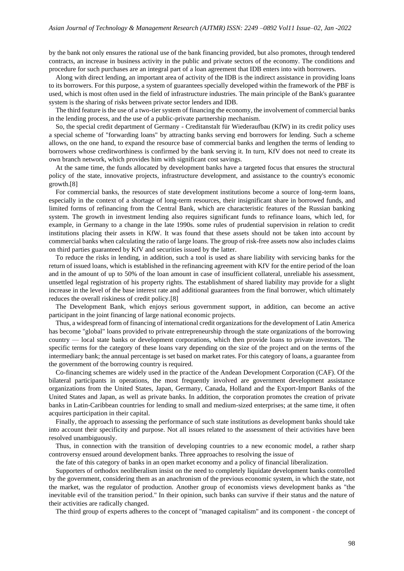by the bank not only ensures the rational use of the bank financing provided, but also promotes, through tendered contracts, an increase in business activity in the public and private sectors of the economy. The conditions and procedure for such purchases are an integral part of a loan agreement that IDB enters into with borrowers.

Along with direct lending, an important area of activity of the IDB is the indirect assistance in providing loans to its borrowers. For this purpose, a system of guarantees specially developed within the framework of the PBF is used, which is most often used in the field of infrastructure industries. The main principle of the Bank's guarantee system is the sharing of risks between private sector lenders and IDB.

The third feature is the use of a two-tier system of financing the economy, the involvement of commercial banks in the lending process, and the use of a public-private partnership mechanism.

So, the special credit department of Germany - Creditanstalt für Wiederaufbau (KfW) in its credit policy uses a special scheme of "forwarding loans" by attracting banks serving end borrowers for lending. Such a scheme allows, on the one hand, to expand the resource base of commercial banks and lengthen the terms of lending to borrowers whose creditworthiness is confirmed by the bank serving it. In turn, KfV does not need to create its own branch network, which provides him with significant cost savings.

At the same time, the funds allocated by development banks have a targeted focus that ensures the structural policy of the state, innovative projects, infrastructure development, and assistance to the country's economic growth.[8]

For commercial banks, the resources of state development institutions become a source of long-term loans, especially in the context of a shortage of long-term resources, their insignificant share in borrowed funds, and limited forms of refinancing from the Central Bank, which are characteristic features of the Russian banking system. The growth in investment lending also requires significant funds to refinance loans, which led, for example, in Germany to a change in the late 1990s. some rules of prudential supervision in relation to credit institutions placing their assets in KfW. It was found that these assets should not be taken into account by commercial banks when calculating the ratio of large loans. The group of risk-free assets now also includes claims on third parties guaranteed by KfV and securities issued by the latter.

To reduce the risks in lending, in addition, such a tool is used as share liability with servicing banks for the return of issued loans, which is established in the refinancing agreement with KfV for the entire period of the loan and in the amount of up to 50% of the loan amount in case of insufficient collateral, unreliable his assessment, unsettled legal registration of his property rights. The establishment of shared liability may provide for a slight increase in the level of the base interest rate and additional guarantees from the final borrower, which ultimately reduces the overall riskiness of credit policy.[8]

The Development Bank, which enjoys serious government support, in addition, can become an active participant in the joint financing of large national economic projects.

Thus, a widespread form of financing of international credit organizations for the development of Latin America has become "global" loans provided to private entrepreneurship through the state organizations of the borrowing country — local state banks or development corporations, which then provide loans to private investors. The specific terms for the category of these loans vary depending on the size of the project and on the terms of the intermediary bank; the annual percentage is set based on market rates. For this category of loans, a guarantee from the government of the borrowing country is required.

Co-financing schemes are widely used in the practice of the Andean Development Corporation (CAF). Of the bilateral participants in operations, the most frequently involved are government development assistance organizations from the United States, Japan, Germany, Canada, Holland and the Export-Import Banks of the United States and Japan, as well as private banks. In addition, the corporation promotes the creation of private banks in Latin-Caribbean countries for lending to small and medium-sized enterprises; at the same time, it often acquires participation in their capital.

Finally, the approach to assessing the performance of such state institutions as development banks should take into account their specificity and purpose. Not all issues related to the assessment of their activities have been resolved unambiguously.

Thus, in connection with the transition of developing countries to a new economic model, a rather sharp controversy ensued around development banks. Three approaches to resolving the issue of

the fate of this category of banks in an open market economy and a policy of financial liberalization.

Supporters of orthodox neoliberalism insist on the need to completely liquidate development banks controlled by the government, considering them as an anachronism of the previous economic system, in which the state, not the market, was the regulator of production. Another group of economists views development banks as "the inevitable evil of the transition period." In their opinion, such banks can survive if their status and the nature of their activities are radically changed.

The third group of experts adheres to the concept of "managed capitalism" and its component - the concept of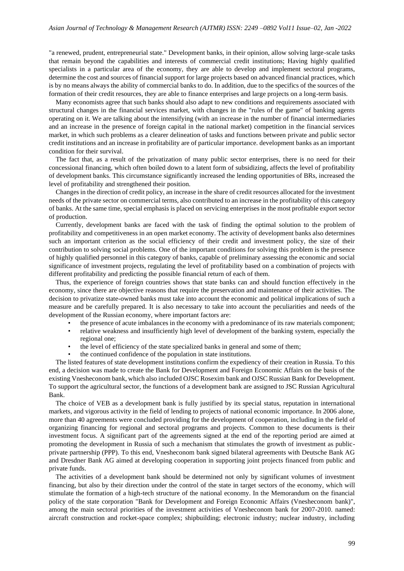"a renewed, prudent, entrepreneurial state." Development banks, in their opinion, allow solving large-scale tasks that remain beyond the capabilities and interests of commercial credit institutions; Having highly qualified specialists in a particular area of the economy, they are able to develop and implement sectoral programs, determine the cost and sources of financial support for large projects based on advanced financial practices, which is by no means always the ability of commercial banks to do. In addition, due to the specifics of the sources of the formation of their credit resources, they are able to finance enterprises and large projects on a long-term basis.

Many economists agree that such banks should also adapt to new conditions and requirements associated with structural changes in the financial services market, with changes in the "rules of the game" of banking agents operating on it. We are talking about the intensifying (with an increase in the number of financial intermediaries and an increase in the presence of foreign capital in the national market) competition in the financial services market, in which such problems as a clearer delineation of tasks and functions between private and public sector credit institutions and an increase in profitability are of particular importance. development banks as an important condition for their survival.

The fact that, as a result of the privatization of many public sector enterprises, there is no need for their concessional financing, which often boiled down to a latent form of subsidizing, affects the level of profitability of development banks. This circumstance significantly increased the lending opportunities of BRs, increased the level of profitability and strengthened their position.

Changes in the direction of credit policy, an increase in the share of credit resources allocated for the investment needs of the private sector on commercial terms, also contributed to an increase in the profitability of this category of banks. At the same time, special emphasis is placed on servicing enterprises in the most profitable export sector of production.

Currently, development banks are faced with the task of finding the optimal solution to the problem of profitability and competitiveness in an open market economy. The activity of development banks also determines such an important criterion as the social efficiency of their credit and investment policy, the size of their contribution to solving social problems. One of the important conditions for solving this problem is the presence of highly qualified personnel in this category of banks, capable of preliminary assessing the economic and social significance of investment projects, regulating the level of profitability based on a combination of projects with different profitability and predicting the possible financial return of each of them.

Thus, the experience of foreign countries shows that state banks can and should function effectively in the economy, since there are objective reasons that require the preservation and maintenance of their activities. The decision to privatize state-owned banks must take into account the economic and political implications of such a measure and be carefully prepared. It is also necessary to take into account the peculiarities and needs of the development of the Russian economy, where important factors are:

- the presence of acute imbalances in the economy with a predominance of its raw materials component;
- relative weakness and insufficiently high level of development of the banking system, especially the regional one;
- the level of efficiency of the state specialized banks in general and some of them;
- the continued confidence of the population in state institutions.

The listed features of state development institutions confirm the expediency of their creation in Russia. To this end, a decision was made to create the Bank for Development and Foreign Economic Affairs on the basis of the existing Vnesheconom bank, which also included OJSC Rosexim bank and OJSC Russian Bank for Development. To support the agricultural sector, the functions of a development bank are assigned to JSC Russian Agricultural Bank.

The choice of VEB as a development bank is fully justified by its special status, reputation in international markets, and vigorous activity in the field of lending to projects of national economic importance. In 2006 alone, more than 40 agreements were concluded providing for the development of cooperation, including in the field of organizing financing for regional and sectoral programs and projects. Common to these documents is their investment focus. A significant part of the agreements signed at the end of the reporting period are aimed at promoting the development in Russia of such a mechanism that stimulates the growth of investment as publicprivate partnership (PPP). To this end, Vnesheconom bank signed bilateral agreements with Deutsche Bank AG and Dresdner Bank AG aimed at developing cooperation in supporting joint projects financed from public and private funds.

The activities of a development bank should be determined not only by significant volumes of investment financing, but also by their direction under the control of the state in target sectors of the economy, which will stimulate the formation of a high-tech structure of the national economy. In the Memorandum on the financial policy of the state corporation "Bank for Development and Foreign Economic Affairs (Vnesheconom bank)", among the main sectoral priorities of the investment activities of Vnesheconom bank for 2007-2010. named: aircraft construction and rocket-space complex; shipbuilding; electronic industry; nuclear industry, including